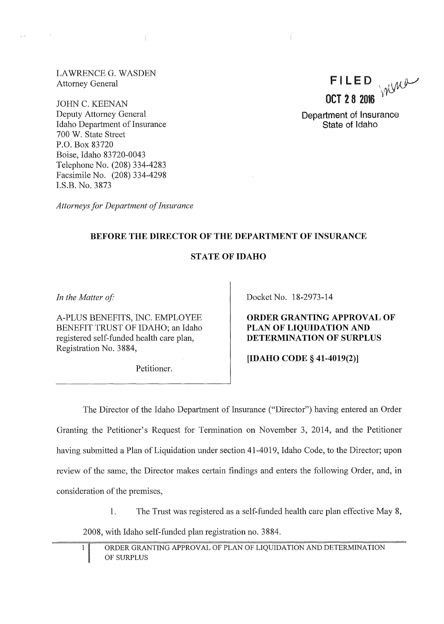LAWRENCE G. WASDEN Attorney General

JOHN C. KEENAN Deputy Attorney General Idaho Department of Insurance 700 W. State Street P.O. Box 83720 Boise, Idaho 83720-0043 Telephone No. (208) 334-4283 Facsimile No. (208) 334-4298 I.S.B. No. 3873

*Attorneys for Department of Insurance* 

 $FILED_{\text{VdW}}$  $OCT$  2 8 2016

Department of Insurance State of Idaho

### BEFORE THE DIRECTOR OF THE DEPARTMENT OF INSURANCE

#### STATE OF IDAHO

In the Matter of:

A-PLUS BENEFITS, INC. EMPLOYEE BENEFIT TRUST OF IDAHO; an Idaho registered self-funded health care plan, Registration No. 3884,

Petitioner.

Docket No. 18-2973-14

ORDER GRANTING APPROVAL OF PLAN OF LIQUIDATION AND DETERMINATION OF SURPLUS

[IDAHO CODE§ 41-4019(2)]

The Director of the Idaho Department of Insurance ("Director") having entered an Order Granting the Petitioner's Request for Termination on November 3, 2014, and the Petitioner having submitted a Plan of Liquidation under section 41-4019, Idaho Code, to the Director; upon review of the same, the Director makes certain findings and enters the following Order, and, in consideration of the premises,

1. The Trust was registered as a self-funded health care plan effective May 8,

2008, with Idaho self-funded plan registration no. 3884.

 $\mathbf{1}$ 

ORDER GRANTING APPROVAL OF PLAN OF LIQUIDATION AND DETERMINATION OF SURPLUS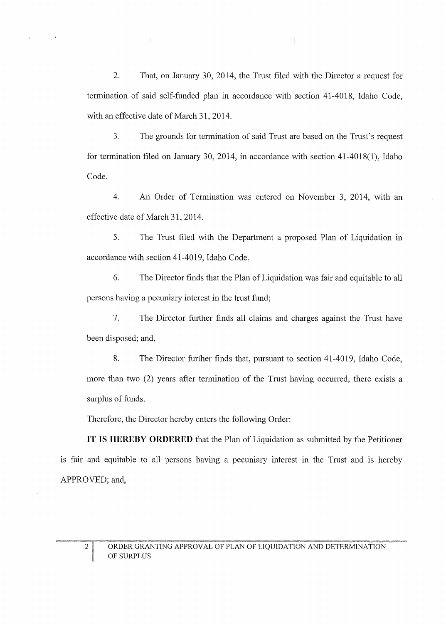2. That, on January 30, 2014, the Trust filed with the Director a request for termination of said self-funded plan in accordance with section 41-4018, Idaho Code, with an effective date of March 31, 2014.

3. The grounds for termination of said Trust are based on the Trust's request for termination filed on January 30, 2014, in accordance with section  $41-4018(1)$ , Idaho Code.

4. An Order of Termination was entered on November 3, 2014, with an effective date of March 31, 2014.

5. The Trust filed with the Department a proposed Plan of Liquidation in accordance with section 41-4019, Idaho Code.

6. The Director finds that the Plan of Liquidation was fair and equitable to all persons having a pecuniary interest in the trust fund;

7. The Director further finds all claims and charges against the Trust have been disposed; and,

8. The Director further finds that, pursuant to section 41-4019, Idaho Code, more than two (2) years after termination of the Trust having occurred, there exists a surplus of funds.

Therefore, the Director hereby enters the following Order:

**IT IS HEREBY ORDERED** that the Plan of Liquidation as submitted by the Petitioner is fair and equitable to all persons having a pecuniary interest in the Trust and is hereby APPROVED; and,

 $\sim$ 

 $\sim 10^{-1}$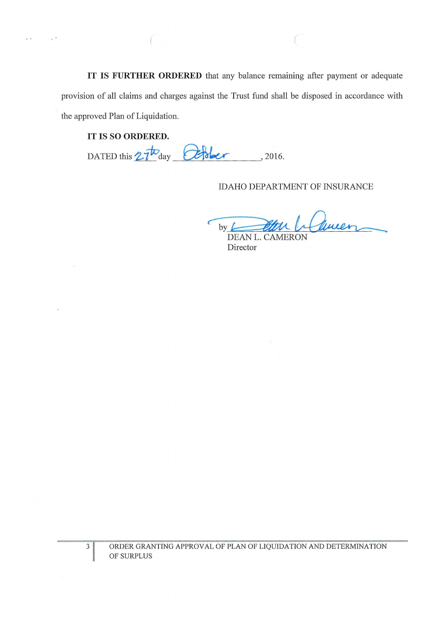IT IS **FURTHER ORDERED** that any balance remaining after payment or adequate provision of all claims and charges against the Trust fund shall be disposed in accordance with the approved Plan of Liquidation.

### IT IS SO **ORDERED.**

 $\mathbf{r}$ 

 $\text{DATED this } 27^{\text{to}}$ day  $\text{Cefsler}$ , 2016.

# IDAHO DEPARTMENT OF INSURANCE

 $by \angle$ DEAN L. Influeen

Director